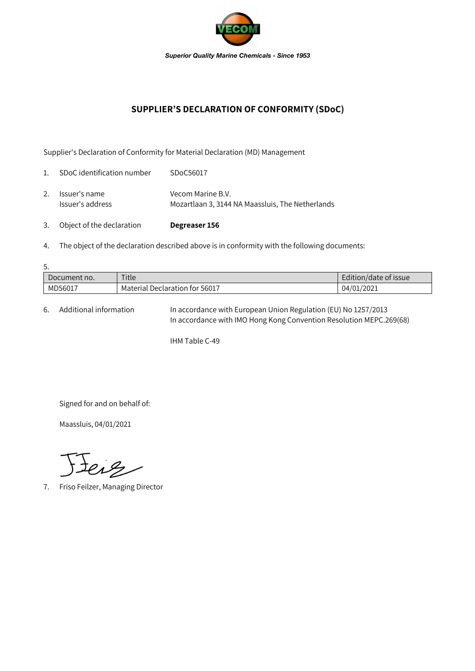

## **SUPPLIER'S DECLARATION OF CONFORMITY (SDoC)**

Supplier's Declaration of Conformity for Material Declaration (MD) Management

| 3.             | Object of the declaration         | Degreaser 156                                                         |
|----------------|-----------------------------------|-----------------------------------------------------------------------|
| 2.             | Issuer's name<br>Issuer's address | Vecom Marine B.V.<br>Mozartlaan 3, 3144 NA Maassluis, The Netherlands |
| $\mathbf{1}$ . | SDoC identification number        | SDoC56017                                                             |

4. The object of the declaration described above is in conformity with the following documents:

| 5.           |                                |                       |  |  |  |  |
|--------------|--------------------------------|-----------------------|--|--|--|--|
| Document no. | Title                          | Edition/date of issue |  |  |  |  |
| MD56017      | Material Declaration for 56017 | 04/01/2021            |  |  |  |  |

6. Additional information In accordance with European Union Regulation (EU) No 1257/2013 In accordance with IMO Hong Kong Convention Resolution MEPC.269(68)

IHM Table C-49

Signed for and on behalf of:

Maassluis, 04/01/2021

teig

7. Friso Feilzer, Managing Director